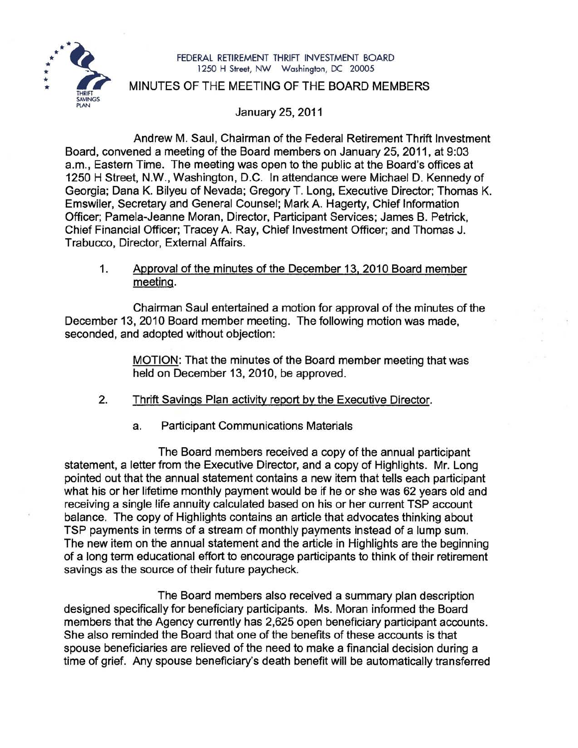

#### FEDERAL RETIREMENT THRIFT INVESTMENT BOARD 1250 H Street, NW Washington, DC 20005

### MINUTES OF THE MEETING OF THE BOARD MEMBERS

January 25, 2011

Andrew M. Saul, Chairman of the Federal Retirement Thrift Investment Board, convened a meeting of the Board members on January 25,2011, at 9:03 a.m., Eastern Time. The meeting was open to the public at the Board's offices at 1250 H Street, N.W., Washington, D.C. In attendance were Michael D. Kennedy of Georgia; Dana K. Bilyeu of Nevada; Gregory T. Long, Executive Director; Thomas K. Emswiler, Secretary and General Counsel; Mark A. Hagerty, Chief Information Officer; Pamela-Jeanne Moran, Director, Participant Services; James B. Petrick, Chief Financial Officer; Tracey A. Ray, Chief Investment Officer; and Thomas J. Trabucco, Director, External Affairs.

## 1. Approval of the minutes of the December 13. 2010 Board member meeting.

Chairman Saul entertained a motion for approval of the minutes of the December 13, 2010 Board member meeting. The following motion was made, seconded, and adopted without objection:

> MOTION: That the minutes of the Board member meeting that was held on December 13, 2010, be approved.

- 2. Thrift Savings Plan activity report by the Executive Director.
	- a. Participant Communications Materials

The Board members received a copy of the annual participant statement, a letter from the Executive Director, and a copy of Highlights. Mr. Long pointed out that the annual statement contains a new item that tells each participant what his or her lifetime monthly payment would be if he or she was 62 years old and receiving a single life annuity calculated based on his or her current TSP account balance. The copy of Highlights contains an article that advocates thinking about TSP payments in terms of a stream of monthly payments instead of a lump sum. The new item on the annual statement and the article in Highlights are the beginning of a long term educational effort to encourage participants to think of their retirement savings as the source of their future paycheck.

The Board members also received a summary plan description designed specifically for beneficiary participants. Ms. Moran informed the Board members that the Agency currently has 2,625 open beneficiary participant accounts. She also reminded the Board that one of the benefits of these accounts is that spouse beneficiaries are relieved of the need to make a financial decision during a time of grief. Any spouse beneficiary's death benefit will be automatically transferred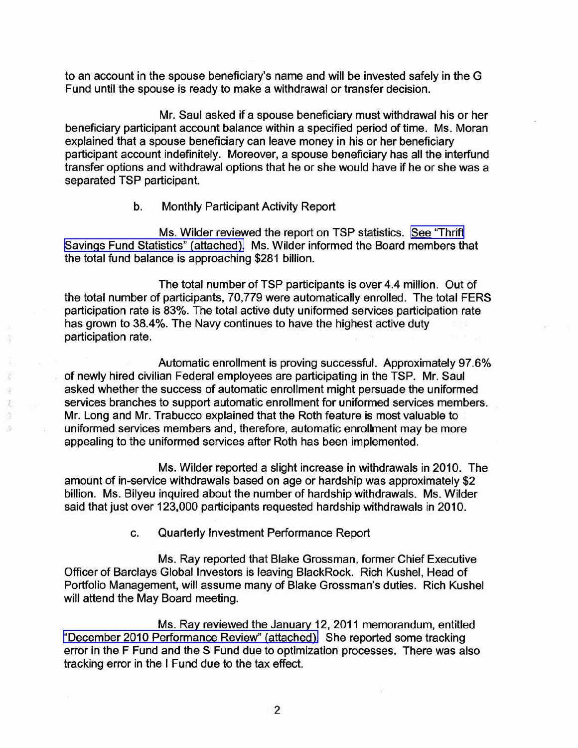to an account in the spouse beneficiary's name and will be invested safely in the G Fund until the spouse is ready to make a withdrawal or transfer decision.

Mr. Saul asked if a spouse beneficiary must withdrawal his or her beneficiary participant account balance within a specified period of time. Ms. Moran explained that a spouse beneficiary can leave money in his or her beneficiary participant account indefinitely. Moreover, a spouse beneficiary has all the interfund transfer options and withdrawal options that he or she would have if he or she was a separated TSP participant.

### b. Monthly Participant Activity Report

ä ŧ Ġ. k)

Ms. Wilder reviewed the report on TSP statistics. See ["Thrift](http://www.frtib.gov/pdf/minutes/MM-2011Jan-Att1.pdf) Savings Fund Statistics" [\(attached\).](http://www.frtib.gov/pdf/minutes/MM-2011Jan-Att1.pdf) Ms. Wilder informed the Board members that the total fund balance is approaching \$281 billion.

The total number of TSP participants is over 4.4 million. Out of the total number of participants, 70,779 were automatically enrolled. The total FERS participation rate is 83%. The total active duty uniformed services participation rate has grown to 38.4%. The Navy continues to have the highest active duty participation rate.

Automatic enrollment is proving successful. Approximately 97.6% of newly hired civilian Federal employees are participating in the TSP. Mr. Saul asked whether the success of automatic enrollment might persuade the uniformed services branches to support automatic enrollment for uniformed services members. Mr. Long and Mr. Trabucco explained that the Roth feature is most valuable to uniformed services members and, therefore, automatic enrollment may be more appealing to the uniformed services after Roth has been implemented.

Ms. Wilder reported a slight increase in withdrawals in 2010. The amount of in-service withdrawals based on age or hardship was approximately \$2 billion. Ms. Bilyeu inquired about the number of hardship withdrawals. Ms. Wilder said that just over 123,000 participants requested hardship withdrawals in 2010.

c. Quarterly Investment Performance Report

Ms. Ray reported that Blake Grossman, former Chief Executive Officer of Barclays Global Investors is leaving BlackRock. Rich Kushel, Head of Portfolio Management, will assume many of Blake Grossman's duties. Rich Kushel will attend the May Board meeting.

Ms. Ray reviewed the January 12, 2011 memorandum, entitled "December 2010 [Performance](http://www.frtib.gov/pdf/minutes/MM-2011Jan-Att2.pdf) Review" (attached). She reported some tracking error in the F Fund and the S Fund due to optimization processes. There was also tracking error in the I Fund due to the tax effect.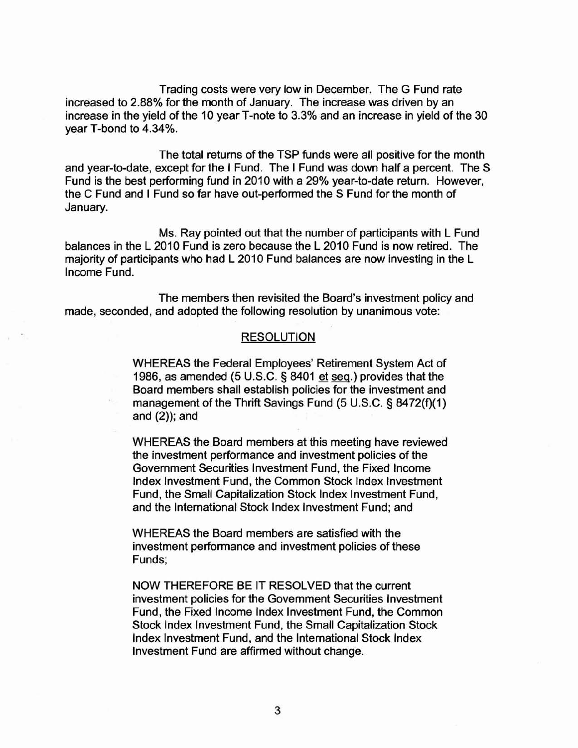Trading costs were very low in December. The G Fund rate increased to 2.88% for the month of January. The increase was driven by an increase in the yield of the 10 year T-note to 3.3% and an increase in yield of the 30 year T-bond to 4.34%.

The total returns of the TSP funds were all positive for the month and year-to-date, except for the I Fund. The I Fund was down half a percent. The S Fund is the best performing fund in 2010 with a 29% year-to-date return. However, the C Fund and I Fund so far have out-performed the S Fund for the month of January.

Ms. Ray pointed out that the number of participants with L Fund balances in the L 2010 Fund is zero because the L 2010 Fund is now retired. The majority of participants who had L 2010 Fund balances are now investing in the L Income Fund.

The members then revisited the Board's investment policy and made, seconded, and adopted the following resolution by unanimous vote:

### RESOLUTION

WHEREAS the Federal Employees' Retirement System Act of 1986, as amended (5 U.S.C. § 8401 et seq.) provides that the Board members shall establish policies for the investment and management of the Thrift Savings Fund (5 U.S.C. § 8472(f)(1) and (2)); and

WHEREAS the Board members at this meeting have reviewed the investment performance and investment policies of the Government Securities Investment Fund, the Fixed Income Index Investment Fund, the Common Stock Index Investment Fund, the Small Capitalization Stock Index Investment Fund, and the International Stock Index Investment Fund; and

WHEREAS the Board members are satisfied with the investment performance and investment policies of these Funds;

NOW THEREFORE BE IT RESOLVED that the current investment policies for the Government Securities Investment Fund, the Fixed Income Index Investment Fund, the Common Stock Index Investment Fund, the Small Capitalization Stock Index Investment Fund, and the International Stock Index Investment Fund are affirmed without change.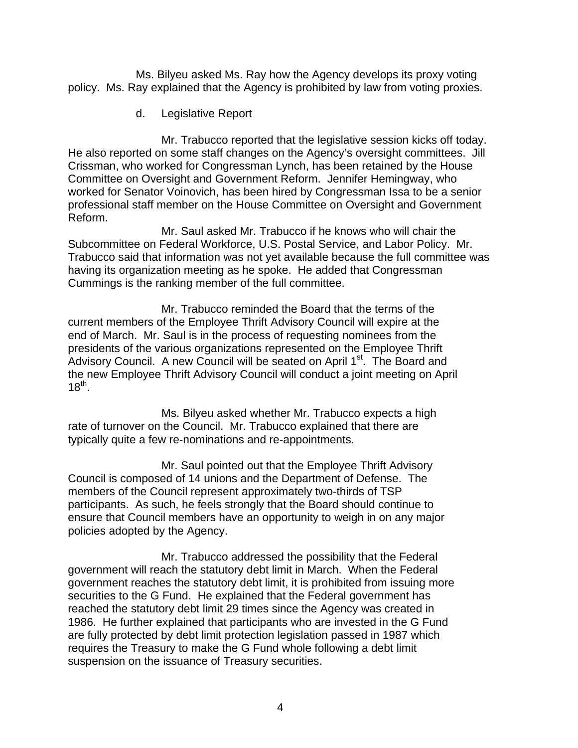Ms. Bilyeu asked Ms. Ray how the Agency develops its proxy voting policy. Ms. Ray explained that the Agency is prohibited by law from voting proxies.

d. Legislative Report

Mr. Trabucco reported that the legislative session kicks off today. He also reported on some staff changes on the Agency's oversight committees. Jill Crissman, who worked for Congressman Lynch, has been retained by the House Committee on Oversight and Government Reform. Jennifer Hemingway, who worked for Senator Voinovich, has been hired by Congressman Issa to be a senior professional staff member on the House Committee on Oversight and Government Reform.

Mr. Saul asked Mr. Trabucco if he knows who will chair the Subcommittee on Federal Workforce, U.S. Postal Service, and Labor Policy. Mr. Trabucco said that information was not yet available because the full committee was having its organization meeting as he spoke. He added that Congressman Cummings is the ranking member of the full committee.

Mr. Trabucco reminded the Board that the terms of the current members of the Employee Thrift Advisory Council will expire at the end of March. Mr. Saul is in the process of requesting nominees from the presidents of the various organizations represented on the Employee Thrift Advisory Council. A new Council will be seated on April 1<sup>st</sup>. The Board and the new Employee Thrift Advisory Council will conduct a joint meeting on April  $18^{th}$ .

Ms. Bilyeu asked whether Mr. Trabucco expects a high rate of turnover on the Council. Mr. Trabucco explained that there are typically quite a few re-nominations and re-appointments.

Mr. Saul pointed out that the Employee Thrift Advisory Council is composed of 14 unions and the Department of Defense. The members of the Council represent approximately two-thirds of TSP participants. As such, he feels strongly that the Board should continue to ensure that Council members have an opportunity to weigh in on any major policies adopted by the Agency.

Mr. Trabucco addressed the possibility that the Federal government will reach the statutory debt limit in March. When the Federal government reaches the statutory debt limit, it is prohibited from issuing more securities to the G Fund. He explained that the Federal government has reached the statutory debt limit 29 times since the Agency was created in 1986. He further explained that participants who are invested in the G Fund are fully protected by debt limit protection legislation passed in 1987 which requires the Treasury to make the G Fund whole following a debt limit suspension on the issuance of Treasury securities.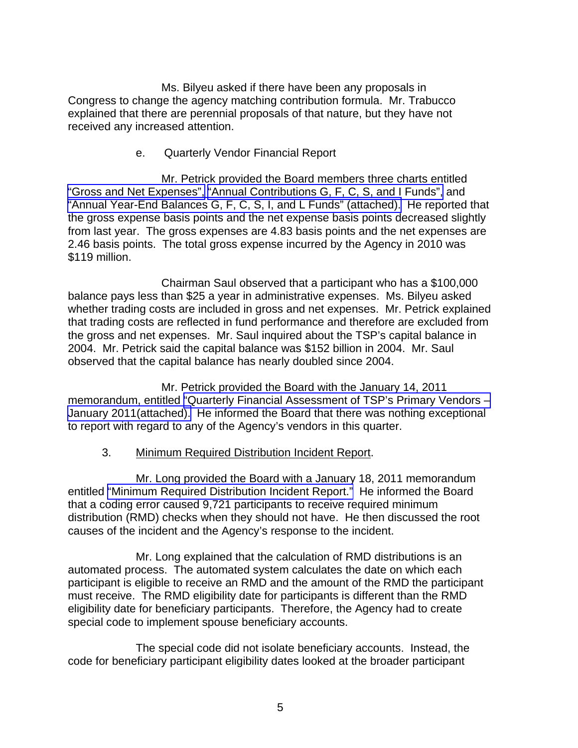Ms. Bilyeu asked if there have been any proposals in Congress to change the agency matching contribution formula. Mr. Trabucco explained that there are perennial proposals of that nature, but they have not received any increased attention.

### e. Quarterly Vendor Financial Report

Mr. Petrick provided the Board members three charts entitled ["Gross and Net Expenses",](http://www.frtib.gov/pdf/minutes/MM-2011Jan-Att3.pdf) ["Annual Contributions G, F, C, S, and I Funds",](http://www.frtib.gov/pdf/minutes/MM-2011Jan-Att4.pdf) and ["Annual Year-End Balances G, F, C, S, I, and L Funds" \(attached\).](http://www.frtib.gov/pdf/minutes/MM-2011Jan-Att5.pdf) He reported that the gross expense basis points and the net expense basis points decreased slightly from last year. The gross expenses are 4.83 basis points and the net expenses are 2.46 basis points. The total gross expense incurred by the Agency in 2010 was \$119 million.

 Chairman Saul observed that a participant who has a \$100,000 balance pays less than \$25 a year in administrative expenses. Ms. Bilyeu asked whether trading costs are included in gross and net expenses. Mr. Petrick explained that trading costs are reflected in fund performance and therefore are excluded from the gross and net expenses. Mr. Saul inquired about the TSP's capital balance in 2004. Mr. Petrick said the capital balance was \$152 billion in 2004. Mr. Saul observed that the capital balance has nearly doubled since 2004.

 Mr. Petrick provided the Board with the January 14, 2011 memorandum, entitled ["Quarterly Financial Assessment of TSP's Primary Vendors –](http://www.frtib.gov/pdf/minutes/MM-2011Jan-Att6.pdf) [January 2011\(attached\).](http://www.frtib.gov/pdf/minutes/MM-2011Jan-Att6.pdf) He informed the Board that there was nothing exceptional to report with regard to any of the Agency's vendors in this quarter.

# 3. Minimum Required Distribution Incident Report.

Mr. Long provided the Board with a January 18, 2011 memorandum entitled ["Minimum Required Distribution Incident Report."](http://www.frtib.gov/pdf/minutes/MM-2011Jan-Att7.pdf) He informed the Board that a coding error caused 9,721 participants to receive required minimum distribution (RMD) checks when they should not have. He then discussed the root causes of the incident and the Agency's response to the incident.

 Mr. Long explained that the calculation of RMD distributions is an automated process. The automated system calculates the date on which each participant is eligible to receive an RMD and the amount of the RMD the participant must receive. The RMD eligibility date for participants is different than the RMD eligibility date for beneficiary participants. Therefore, the Agency had to create special code to implement spouse beneficiary accounts.

 The special code did not isolate beneficiary accounts. Instead, the code for beneficiary participant eligibility dates looked at the broader participant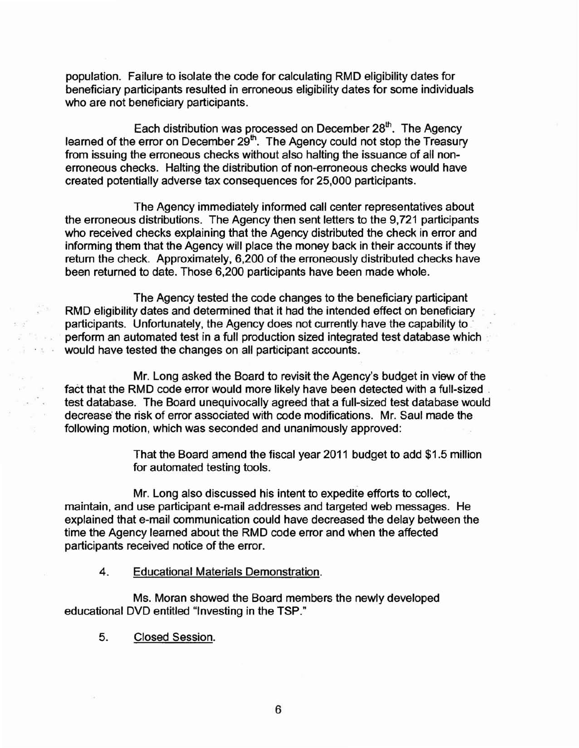population. Failure to isolate the code for calculating RMD eligibility dates for beneficiary participants resulted in erroneous eligibility dates for some individuals who are not beneficiary participants.

Each distribution was processed on December 28<sup>th</sup>. The Agency learned of the error on December 29<sup>th</sup>. The Agency could not stop the Treasury from issuing the erroneous checks without also halting the issuance of all nonerroneous checks. Halting the distribution of non-erroneous checks would have created potentially adverse tax consequences for 25,000 participants.

The Agency immediately informed call center representatives about the erroneous distributions. The Agency then sent letters to the 9,721 participants who received checks explaining that the Agency distributed the check in error and informing them that the Agency will place the money back in their accounts if they return the check. Approximately, 6,200 of the erroneously distributed checks have been returned to date. Those 6,200 participants have been made whole.

The Agency tested the code changes to the beneficiary participant RMD eligibility dates and determined that it had the intended effect on beneficiary participants. Unfortunately, the Agency does not currently have the capability to perform an automated test in a full production sized integrated test database which would have tested the changes on all participant accounts.

Mr. Long asked the Board to revisit the Agency's budget in view of the fact that the RMD code error would more likely have been detected with a full-sized test database. The Board unequivocally agreed that a full-sized test database would decrease'the risk of error associated with code modifications. Mr. Saul made the following motion, which was seconded and unanimously approved:

> That the Board amend the fiscal year 2011 budget to add \$1.5 million for automated testing tools.

Mr. Long also discussed his intent to expedite efforts to collect, maintain, and use participant e-mail addresses and targeted web messages. He explained that e-mail communication could have decreased the delay between the time the Agency learned about the RMD code error and when the affected participants received notice of the error.

4. Educational Materials Demonstration.

Ms. Moran showed the Board members the newly developed educational DVD entitled "Investing in the TSP."

5. Closed Session.

<sup>th</sup>e war  $\sigma \lesssim 12$ 

 $\leq$